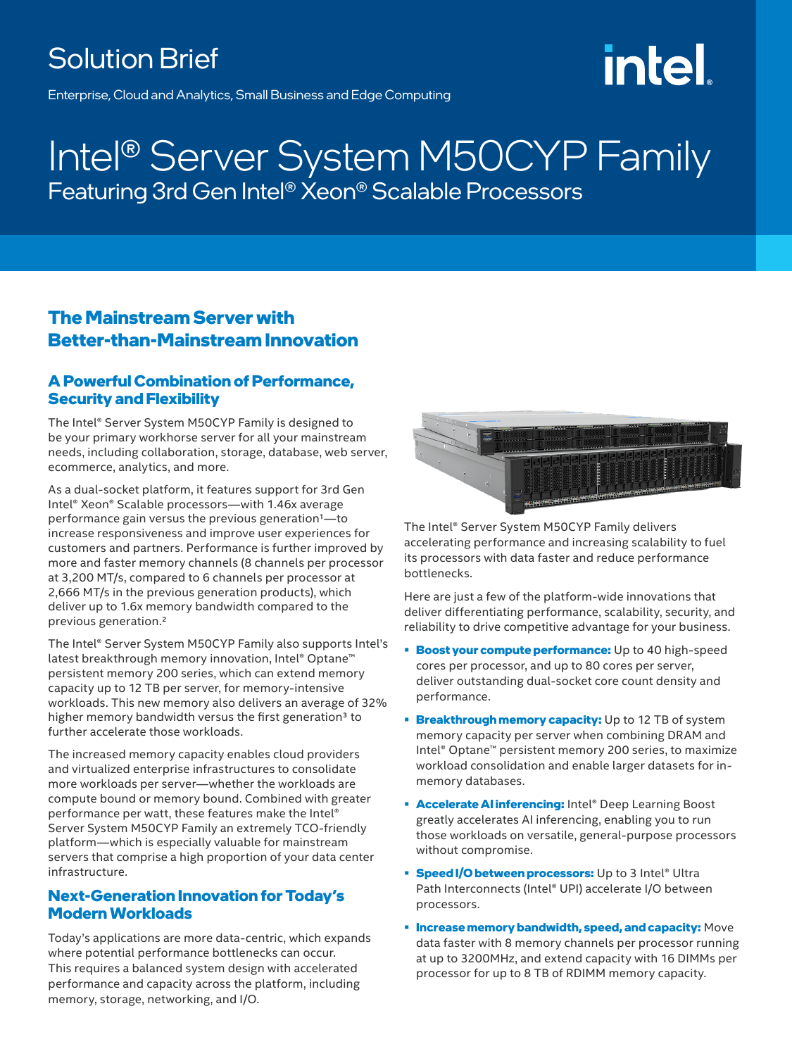# Solution Brief

# intel

Enterprise, Cloud and Analytics, Small Business and Edge Computing

# Intel® Server System M50CYP Family Featuring 3rd Gen Intel® Xeon® Scalable Processors

## **The Mainstream Server with Better-than-Mainstream Innovation**

### **A Powerful Combination of Performance, Security and Flexibility**

The Intel® Server System M50CYP Family is designed to be your primary workhorse server for all your mainstream needs, including collaboration, storage, database, web server, ecommerce, analytics, and more.

As a dual-socket platform, it features support for 3rd Gen Intel® Xeon® Scalable processors—with 1.46x average performance gain versus the previous generation1—to increase responsiveness and improve user experiences for customers and partners. Performance is further improved by more and faster memory channels (8 channels per processor at 3,200 MT/s, compared to 6 channels per processor at 2,666 MT/s in the previous generation products), which deliver up to 1.6x memory bandwidth compared to the previous generation.2

The Intel® Server System M50CYP Family also supports Intel's latest breakthrough memory innovation, Intel® Optane™ persistent memory 200 series, which can extend memory capacity up to 12 TB per server, for memory-intensive workloads. This new memory also delivers an average of 32% higher memory bandwidth versus the first generation<sup>3</sup> to further accelerate those workloads.

The increased memory capacity enables cloud providers and virtualized enterprise infrastructures to consolidate more workloads per server—whether the workloads are compute bound or memory bound. Combined with greater performance per watt, these features make the Intel® Server System M50CYP Family an extremely TCO-friendly platform—which is especially valuable for mainstream servers that comprise a high proportion of your data center infrastructure.

### **Next-Generation Innovation for Today's Modern Workloads**

Today's applications are more data-centric, which expands where potential performance bottlenecks can occur. This requires a balanced system design with accelerated performance and capacity across the platform, including memory, storage, networking, and I/O.



The Intel® Server System M50CYP Family delivers accelerating performance and increasing scalability to fuel its processors with data faster and reduce performance bottlenecks.

Here are just a few of the platform-wide innovations that deliver differentiating performance, scalability, security, and reliability to drive competitive advantage for your business.

- **• Boost your compute performance:** Up to 40 high-speed cores per processor, and up to 80 cores per server, deliver outstanding dual-socket core count density and performance.
- **• Breakthrough memory capacity:** Up to 12 TB of system memory capacity per server when combining DRAM and Intel® Optane™ persistent memory 200 series, to maximize workload consolidation and enable larger datasets for inmemory databases.
- **• Accelerate AI inferencing:** Intel® Deep Learning Boost greatly accelerates AI inferencing, enabling you to run those workloads on versatile, general-purpose processors without compromise.
- **• Speed I/O between processors:** Up to 3 Intel® Ultra Path Interconnects (Intel® UPI) accelerate I/O between processors.
- **• Increase memory bandwidth, speed, and capacity:** Move data faster with 8 memory channels per processor running at up to 3200MHz, and extend capacity with 16 DIMMs per processor for up to 8 TB of RDIMM memory capacity.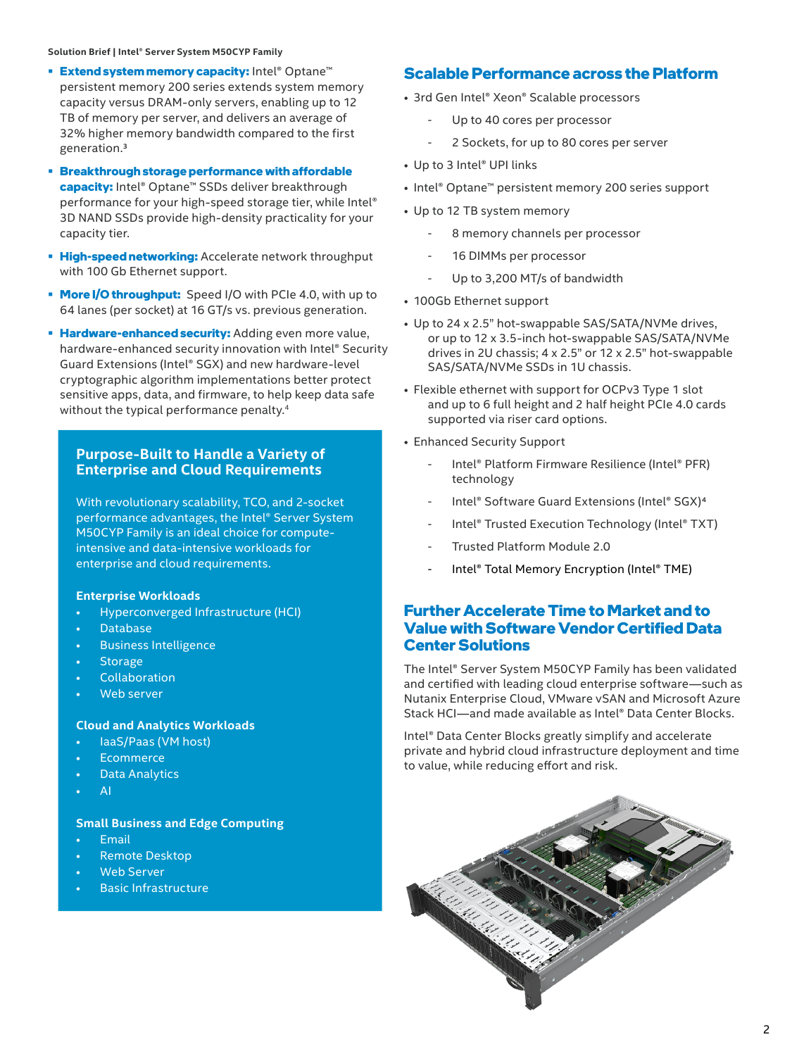#### **Solution Brief | Intel® Server System M50CYP Family**

- **• Extend system memory capacity:** Intel® Optane™ persistent memory 200 series extends system memory capacity versus DRAM-only servers, enabling up to 12 TB of memory per server, and delivers an average of 32% higher memory bandwidth compared to the first generation.3
- **• Breakthrough storage performance with affordable capacity:** Intel® Optane™ SSDs deliver breakthrough performance for your high-speed storage tier, while Intel® 3D NAND SSDs provide high-density practicality for your capacity tier.
- **• High-speed networking:** Accelerate network throughput with 100 Gb Ethernet support.
- **• More I/O throughput:** Speed I/O with PCIe 4.0, with up to 64 lanes (per socket) at 16 GT/s vs. previous generation.
- **• Hardware-enhanced security:** Adding even more value, hardware-enhanced security innovation with Intel® Security Guard Extensions (Intel® SGX) and new hardware-level cryptographic algorithm implementations better protect sensitive apps, data, and firmware, to help keep data safe without the typical performance penalty.<sup>4</sup>

#### **Purpose-Built to Handle a Variety of Enterprise and Cloud Requirements**

With revolutionary scalability, TCO, and 2-socket performance advantages, the Intel® Server System M50CYP Family is an ideal choice for computeintensive and data-intensive workloads for enterprise and cloud requirements.

#### **Enterprise Workloads**

- Hyperconverged Infrastructure (HCI)
- Database
- Business Intelligence
- **Storage**
- **Collaboration**
- Web server

#### **Cloud and Analytics Workloads**

- IaaS/Paas (VM host)
- **Ecommerce**
- Data Analytics
- $\Delta I$

#### **Small Business and Edge Computing**

- Email
- Remote Desktop
- Web Server
- **Basic Infrastructure**

#### **Scalable Performance across the Platform**

- 3rd Gen Intel® Xeon® Scalable processors
	- Up to 40 cores per processor
	- 2 Sockets, for up to 80 cores per server
- Up to 3 Intel® UPI links
- Intel® Optane™ persistent memory 200 series support
- Up to 12 TB system memory
	- 8 memory channels per processor
	- 16 DIMMs per processor
	- Up to 3,200 MT/s of bandwidth
- 100Gb Ethernet support
- Up to 24 x 2.5" hot-swappable SAS/SATA/NVMe drives, or up to 12 x 3.5-inch hot-swappable SAS/SATA/NVMe drives in 2U chassis; 4 x 2.5" or 12 x 2.5" hot-swappable SAS/SATA/NVMe SSDs in 1U chassis.
- Flexible ethernet with support for OCPv3 Type 1 slot and up to 6 full height and 2 half height PCIe 4.0 cards supported via riser card options.
- Enhanced Security Support
	- Intel<sup>®</sup> Platform Firmware Resilience (Intel<sup>®</sup> PFR) technology
	- Intel® Software Guard Extensions (Intel® SGX)<sup>4</sup>
	- Intel® Trusted Execution Technology (Intel® TXT)
	- Trusted Platform Module 2.0
	- Intel® Total Memory Encryption (Intel® TME)

#### **Further Accelerate Time to Market and to Value with Software Vendor Certified Data Center Solutions**

The Intel® Server System M50CYP Family has been validated and certified with leading cloud enterprise software—such as Nutanix Enterprise Cloud, VMware vSAN and Microsoft Azure Stack HCI—and made available as Intel® Data Center Blocks.

Intel® Data Center Blocks greatly simplify and accelerate private and hybrid cloud infrastructure deployment and time to value, while reducing effort and risk.

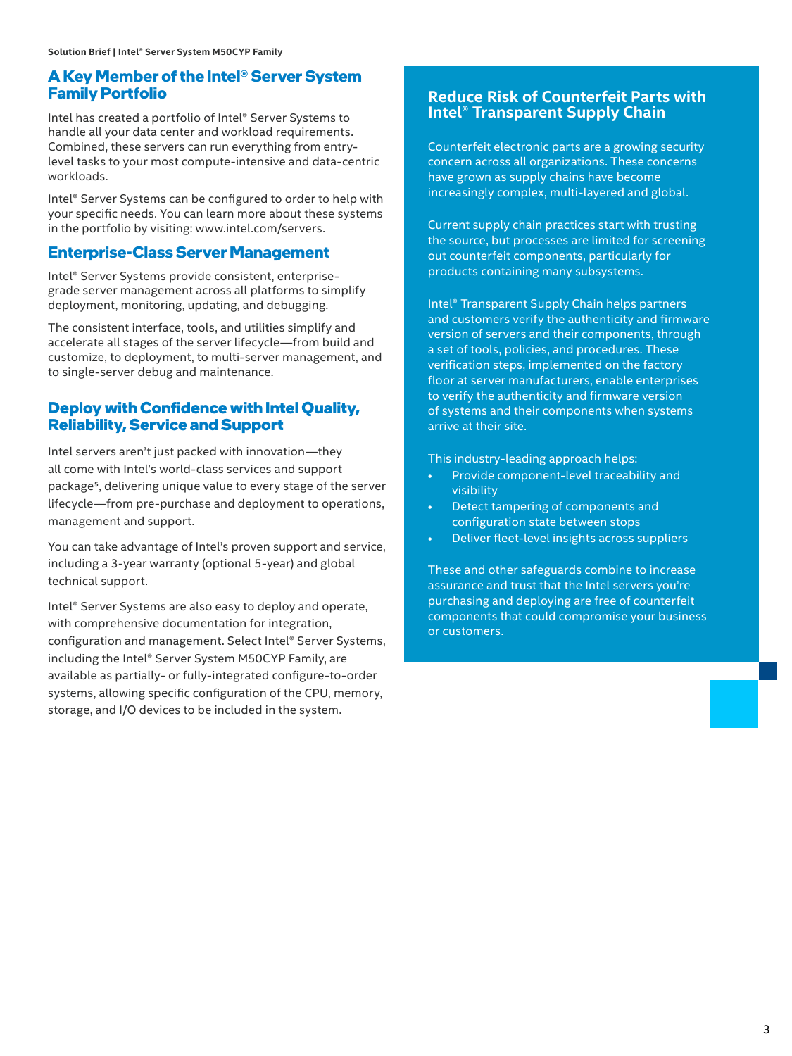#### **A Key Member of the Intel® Server System Family Portfolio**

Intel has created a portfolio of Intel® Server Systems to handle all your data center and workload requirements. Combined, these servers can run everything from entrylevel tasks to your most compute-intensive and data-centric workloads.

Intel® Server Systems can be configured to order to help with your specific needs. You can learn more about these systems in the portfolio by visiting: www.intel.com/servers.

#### **Enterprise-Class Server Management**

Intel® Server Systems provide consistent, enterprisegrade server management across all platforms to simplify deployment, monitoring, updating, and debugging.

The consistent interface, tools, and utilities simplify and accelerate all stages of the server lifecycle—from build and customize, to deployment, to multi-server management, and to single-server debug and maintenance.

#### **Deploy with Confidence with Intel Quality, Reliability, Service and Support**

Intel servers aren't just packed with innovation—they all come with Intel's world-class services and support package5, delivering unique value to every stage of the server lifecycle—from pre-purchase and deployment to operations, management and support.

You can take advantage of Intel's proven support and service, including a 3-year warranty (optional 5-year) and global technical support.

Intel® Server Systems are also easy to deploy and operate, with comprehensive documentation for integration, configuration and management. Select Intel® Server Systems, including the Intel® Server System M50CYP Family, are available as partially- or fully-integrated configure-to-order systems, allowing specific configuration of the CPU, memory, storage, and I/O devices to be included in the system.

#### **Reduce Risk of Counterfeit Parts with Intel® Transparent Supply Chain**

Counterfeit electronic parts are a growing security concern across all organizations. These concerns have grown as supply chains have become increasingly complex, multi-layered and global.

Current supply chain practices start with trusting the source, but processes are limited for screening out counterfeit components, particularly for products containing many subsystems.

Intel® Transparent Supply Chain helps partners and customers verify the authenticity and firmware version of servers and their components, through a set of tools, policies, and procedures. These verification steps, implemented on the factory floor at server manufacturers, enable enterprises to verify the authenticity and firmware version of systems and their components when systems arrive at their site.

This industry-leading approach helps:

- Provide component-level traceability and visibility
- Detect tampering of components and configuration state between stops
- Deliver fleet-level insights across suppliers

These and other safeguards combine to increase assurance and trust that the Intel servers you're purchasing and deploying are free of counterfeit components that could compromise your business or customers.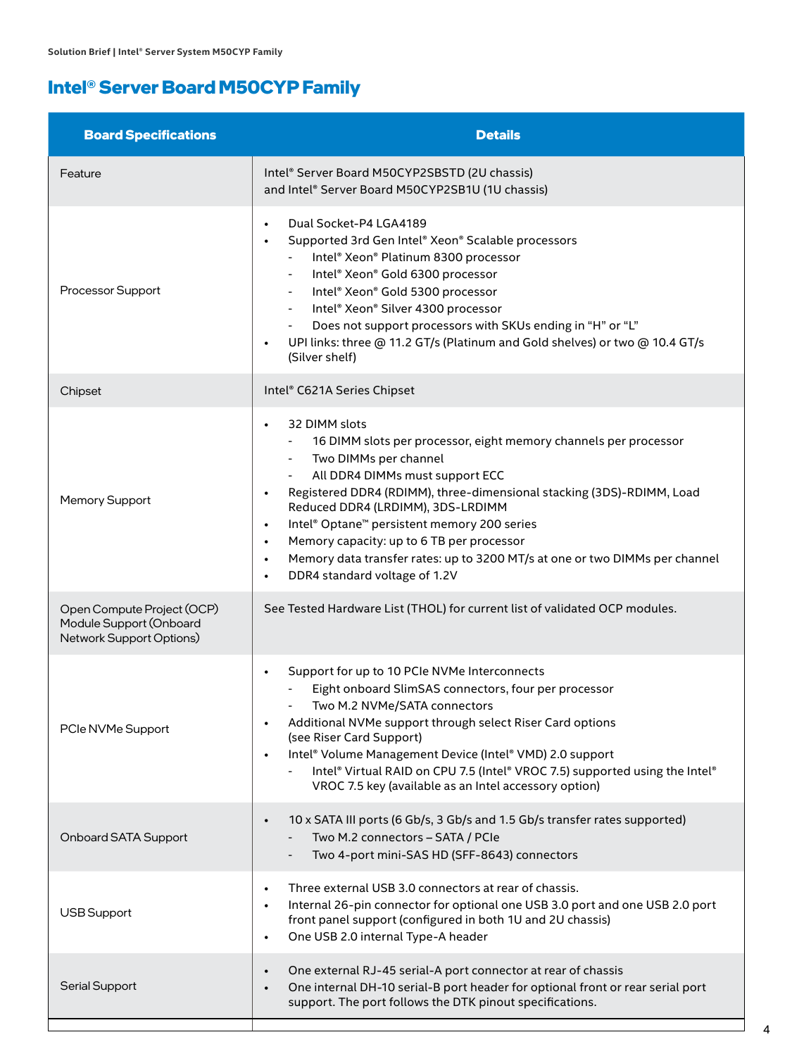# **Intel® Server Board M50CYP Family**

| <b>Board Specifications</b>                                                       | <b>Details</b>                                                                                                                                                                                                                                                                                                                                                                                                                                                                                                                                                  |
|-----------------------------------------------------------------------------------|-----------------------------------------------------------------------------------------------------------------------------------------------------------------------------------------------------------------------------------------------------------------------------------------------------------------------------------------------------------------------------------------------------------------------------------------------------------------------------------------------------------------------------------------------------------------|
| Feature                                                                           | Intel® Server Board M50CYP2SBSTD (2U chassis)<br>and Intel® Server Board M50CYP2SB1U (1U chassis)                                                                                                                                                                                                                                                                                                                                                                                                                                                               |
| Processor Support                                                                 | Dual Socket-P4 LGA4189<br>$\bullet$<br>Supported 3rd Gen Intel® Xeon® Scalable processors<br>$\bullet$<br>Intel® Xeon® Platinum 8300 processor<br>Intel® Xeon® Gold 6300 processor<br>Intel® Xeon® Gold 5300 processor<br>Intel® Xeon® Silver 4300 processor<br>Does not support processors with SKUs ending in "H" or "L"<br>UPI links: three @ 11.2 GT/s (Platinum and Gold shelves) or two @ 10.4 GT/s<br>$\bullet$<br>(Silver shelf)                                                                                                                        |
| Chipset                                                                           | Intel® C621A Series Chipset                                                                                                                                                                                                                                                                                                                                                                                                                                                                                                                                     |
| Memory Support                                                                    | 32 DIMM slots<br>$\bullet$<br>16 DIMM slots per processor, eight memory channels per processor<br>Two DIMMs per channel<br>$\sim$<br>All DDR4 DIMMs must support ECC<br>Registered DDR4 (RDIMM), three-dimensional stacking (3DS)-RDIMM, Load<br>$\bullet$<br>Reduced DDR4 (LRDIMM), 3DS-LRDIMM<br>Intel® Optane™ persistent memory 200 series<br>$\bullet$<br>Memory capacity: up to 6 TB per processor<br>$\bullet$<br>Memory data transfer rates: up to 3200 MT/s at one or two DIMMs per channel<br>$\bullet$<br>DDR4 standard voltage of 1.2V<br>$\bullet$ |
| Open Compute Project (OCP)<br>Module Support (Onboard<br>Network Support Options) | See Tested Hardware List (THOL) for current list of validated OCP modules.                                                                                                                                                                                                                                                                                                                                                                                                                                                                                      |
| PCIe NVMe Support                                                                 | Support for up to 10 PCIe NVMe Interconnects<br>$\bullet$<br>Eight onboard SlimSAS connectors, four per processor<br>Two M.2 NVMe/SATA connectors<br>Additional NVMe support through select Riser Card options<br>$\bullet$<br>(see Riser Card Support)<br>Intel® Volume Management Device (Intel® VMD) 2.0 support<br>$\bullet$<br>Intel® Virtual RAID on CPU 7.5 (Intel® VROC 7.5) supported using the Intel®<br>VROC 7.5 key (available as an Intel accessory option)                                                                                        |
| Onboard SATA Support                                                              | 10 x SATA III ports (6 Gb/s, 3 Gb/s and 1.5 Gb/s transfer rates supported)<br>$\bullet$<br>Two M.2 connectors - SATA / PCIe<br>Two 4-port mini-SAS HD (SFF-8643) connectors                                                                                                                                                                                                                                                                                                                                                                                     |
| <b>USB Support</b>                                                                | Three external USB 3.0 connectors at rear of chassis.<br>$\bullet$<br>Internal 26-pin connector for optional one USB 3.0 port and one USB 2.0 port<br>$\bullet$<br>front panel support (configured in both 1U and 2U chassis)<br>One USB 2.0 internal Type-A header<br>$\bullet$                                                                                                                                                                                                                                                                                |
| <b>Serial Support</b>                                                             | One external RJ-45 serial-A port connector at rear of chassis<br>$\bullet$<br>One internal DH-10 serial-B port header for optional front or rear serial port<br>$\bullet$<br>support. The port follows the DTK pinout specifications.                                                                                                                                                                                                                                                                                                                           |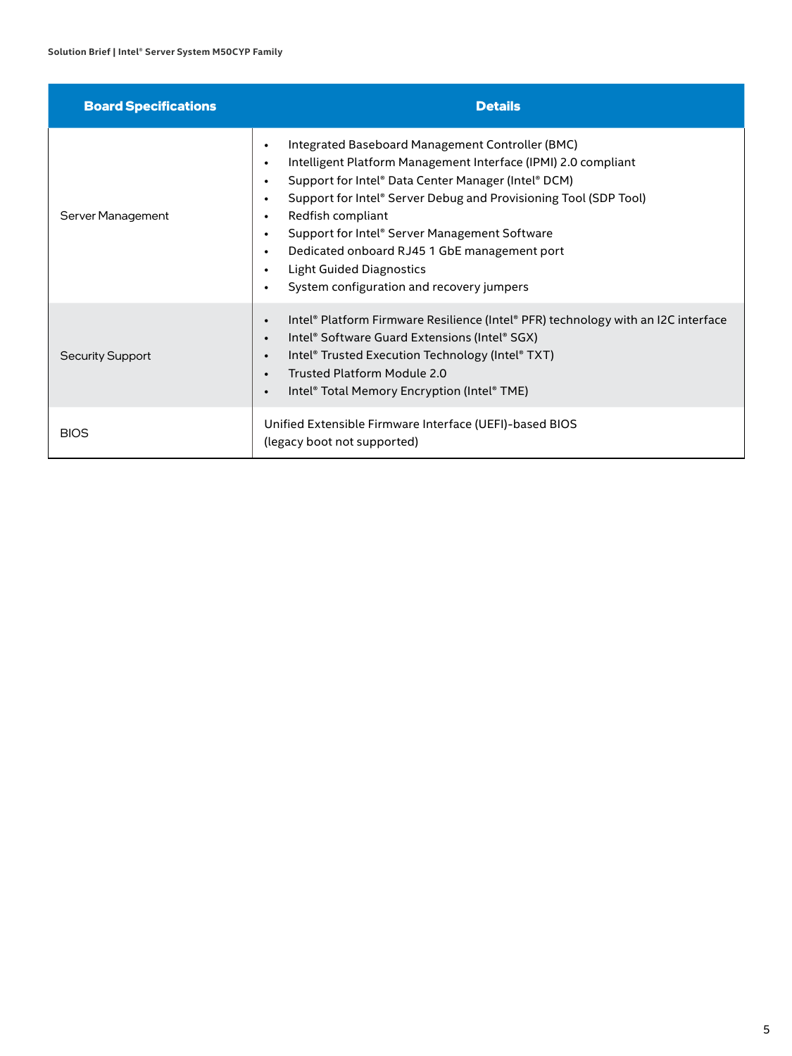| <b>Board Specifications</b> | <b>Details</b>                                                                                                                                                                                                                                                                                                                                                                                                                                                                                                                                                           |
|-----------------------------|--------------------------------------------------------------------------------------------------------------------------------------------------------------------------------------------------------------------------------------------------------------------------------------------------------------------------------------------------------------------------------------------------------------------------------------------------------------------------------------------------------------------------------------------------------------------------|
| Server Management           | Integrated Baseboard Management Controller (BMC)<br>$\bullet$<br>Intelligent Platform Management Interface (IPMI) 2.0 compliant<br>$\bullet$<br>Support for Intel® Data Center Manager (Intel® DCM)<br>$\bullet$<br>Support for Intel® Server Debug and Provisioning Tool (SDP Tool)<br>$\bullet$<br>Redfish compliant<br>$\bullet$<br>Support for Intel® Server Management Software<br>$\bullet$<br>Dedicated onboard RJ45 1 GbE management port<br>$\bullet$<br><b>Light Guided Diagnostics</b><br>$\bullet$<br>System configuration and recovery jumpers<br>$\bullet$ |
| <b>Security Support</b>     | Intel® Platform Firmware Resilience (Intel® PFR) technology with an I2C interface<br>$\bullet$<br>Intel® Software Guard Extensions (Intel® SGX)<br>$\bullet$<br>Intel® Trusted Execution Technology (Intel® TXT)<br>$\bullet$<br>Trusted Platform Module 2.0<br>$\bullet$<br>Intel® Total Memory Encryption (Intel® TME)<br>$\bullet$                                                                                                                                                                                                                                    |
| <b>BIOS</b>                 | Unified Extensible Firmware Interface (UEFI)-based BIOS<br>(legacy boot not supported)                                                                                                                                                                                                                                                                                                                                                                                                                                                                                   |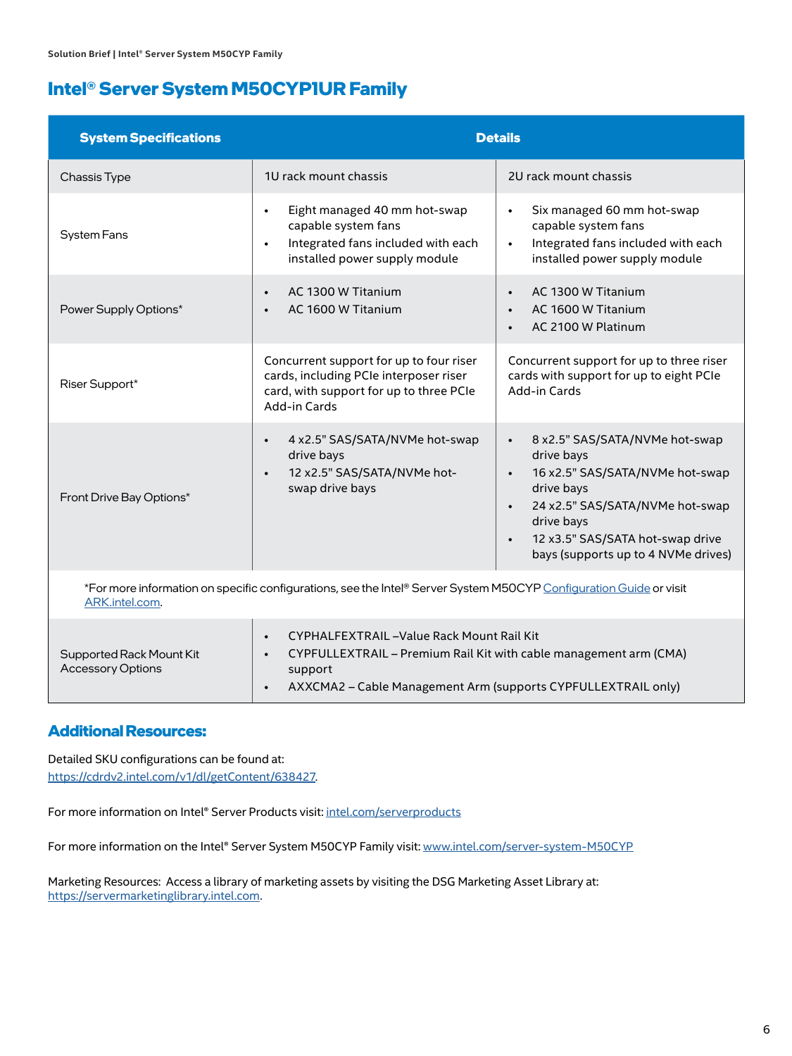## **Intel® Server System M50CYP1UR Family**

| <b>System Specifications</b>                                                                                                         |                                                                                                                                                      | <b>Details</b>                                                                                                                                                                                                                                                                |
|--------------------------------------------------------------------------------------------------------------------------------------|------------------------------------------------------------------------------------------------------------------------------------------------------|-------------------------------------------------------------------------------------------------------------------------------------------------------------------------------------------------------------------------------------------------------------------------------|
| Chassis Type                                                                                                                         | 1U rack mount chassis                                                                                                                                | 2U rack mount chassis                                                                                                                                                                                                                                                         |
| <b>System Fans</b>                                                                                                                   | Eight managed 40 mm hot-swap<br>$\bullet$<br>capable system fans<br>Integrated fans included with each<br>$\bullet$<br>installed power supply module | Six managed 60 mm hot-swap<br>$\bullet$<br>capable system fans<br>Integrated fans included with each<br>$\bullet$<br>installed power supply module                                                                                                                            |
| Power Supply Options*                                                                                                                | AC 1300 W Titanium<br>$\bullet$<br>AC 1600 W Titanium<br>$\bullet$                                                                                   | AC 1300 W Titanium<br>$\bullet$<br>AC 1600 W Titanium<br>$\bullet$<br>AC 2100 W Platinum                                                                                                                                                                                      |
| Riser Support*                                                                                                                       | Concurrent support for up to four riser<br>cards, including PCIe interposer riser<br>card, with support for up to three PCIe<br>Add-in Cards         | Concurrent support for up to three riser<br>cards with support for up to eight PCIe<br>Add-in Cards                                                                                                                                                                           |
| Front Drive Bay Options*                                                                                                             | 4 x2.5" SAS/SATA/NVMe hot-swap<br>$\bullet$<br>drive bays<br>12 x2.5" SAS/SATA/NVMe hot-<br>$\bullet$<br>swap drive bays                             | 8 x2.5" SAS/SATA/NVMe hot-swap<br>$\bullet$<br>drive bays<br>16 x2.5" SAS/SATA/NVMe hot-swap<br>$\bullet$<br>drive bays<br>24 x2.5" SAS/SATA/NVMe hot-swap<br>$\bullet$<br>drive bays<br>12 x3.5" SAS/SATA hot-swap drive<br>$\bullet$<br>bays (supports up to 4 NVMe drives) |
| *For more information on specific configurations, see the Intel® Server System M50CYP Configuration Guide or visit<br>ARK.intel.com. |                                                                                                                                                      |                                                                                                                                                                                                                                                                               |

|                                                      | CYPHALFEXTRAIL-Value Rack Mount Rail Kit                                     |
|------------------------------------------------------|------------------------------------------------------------------------------|
| Supported Rack Mount Kit<br><b>Accessory Options</b> | CYPFULLEXTRAIL - Premium Rail Kit with cable management arm (CMA)<br>support |
|                                                      | AXXCMA2 – Cable Management Arm (supports CYPFULLEXTRAIL only)                |

#### **Additional Resources:**

Detailed SKU configurations can be found at: <https://cdrdv2.intel.com/v1/dl/getContent/638427>.

For more information on Intel® Server Products visit: [intel.com/serverproducts](http://intel.com/serverproducts)

For more information on the Intel® Server System M50CYP Family visit: [www.intel.com/server-system-M50CYP](http://www.intel.com/server-system-M50CYP)

Marketing Resources: Access a library of marketing assets by visiting the DSG Marketing Asset Library at: <https://servermarketinglibrary.intel.com>.